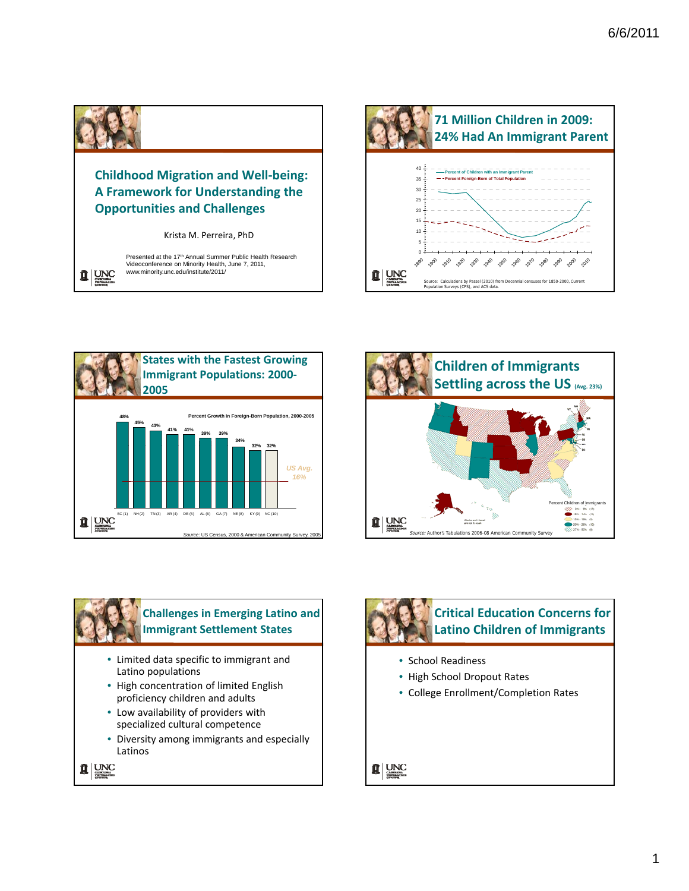

 $\frac{1}{2}$  | UNC

## **Childhood Migration and Well‐being: A Framework for Understanding the Opportunities and Challenges**

Krista M. Perreira, PhD

Presented at the 17th Annual Summer Public Health Research Videoconference on Minority Health, June 7, 2011, www.minority.unc.edu/institute/2011/







## **Challenges in Emerging Latino and Immigrant Settlement States**

- Limited data specific to immigrant and Latino populations
- High concentration of limited English proficiency children and adults
- Low availability of providers with specialized cultural competence
- Diversity among immigrants and especially Latinos





## **Critical Education Concerns for Latino Children of Immigrants**

- School Readiness
- High School Dropout Rates
- College Enrollment/Completion Rates

 $\frac{1}{2}$  | UNC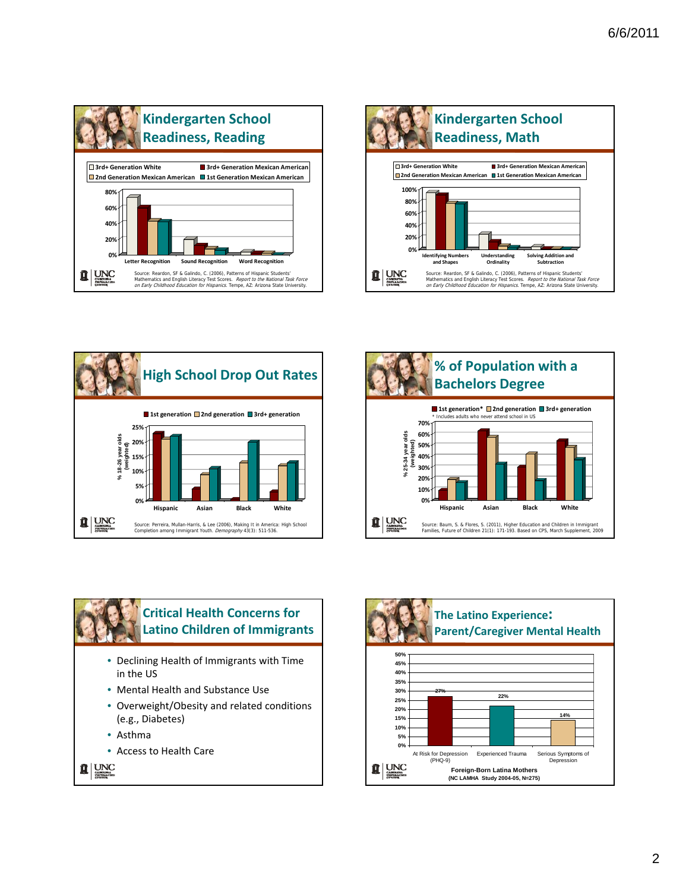









- Declining Health of Immigrants with Time in the US
- Mental Health and Substance Use
- Overweight/Obesity and related conditions (e.g., Diabetes)
- Asthma
- Access to Health Care

 $\frac{1}{2}$  MC

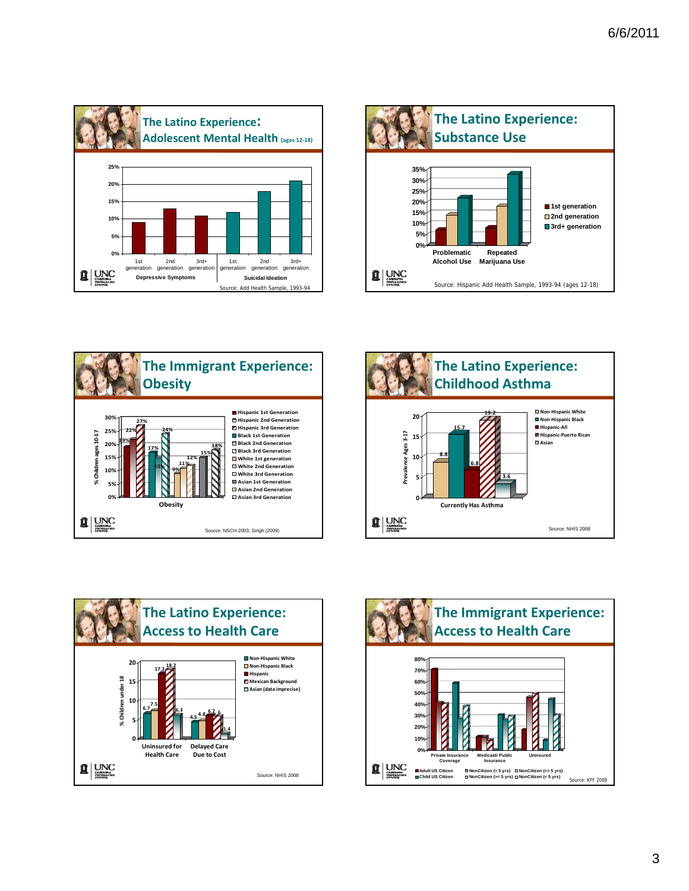